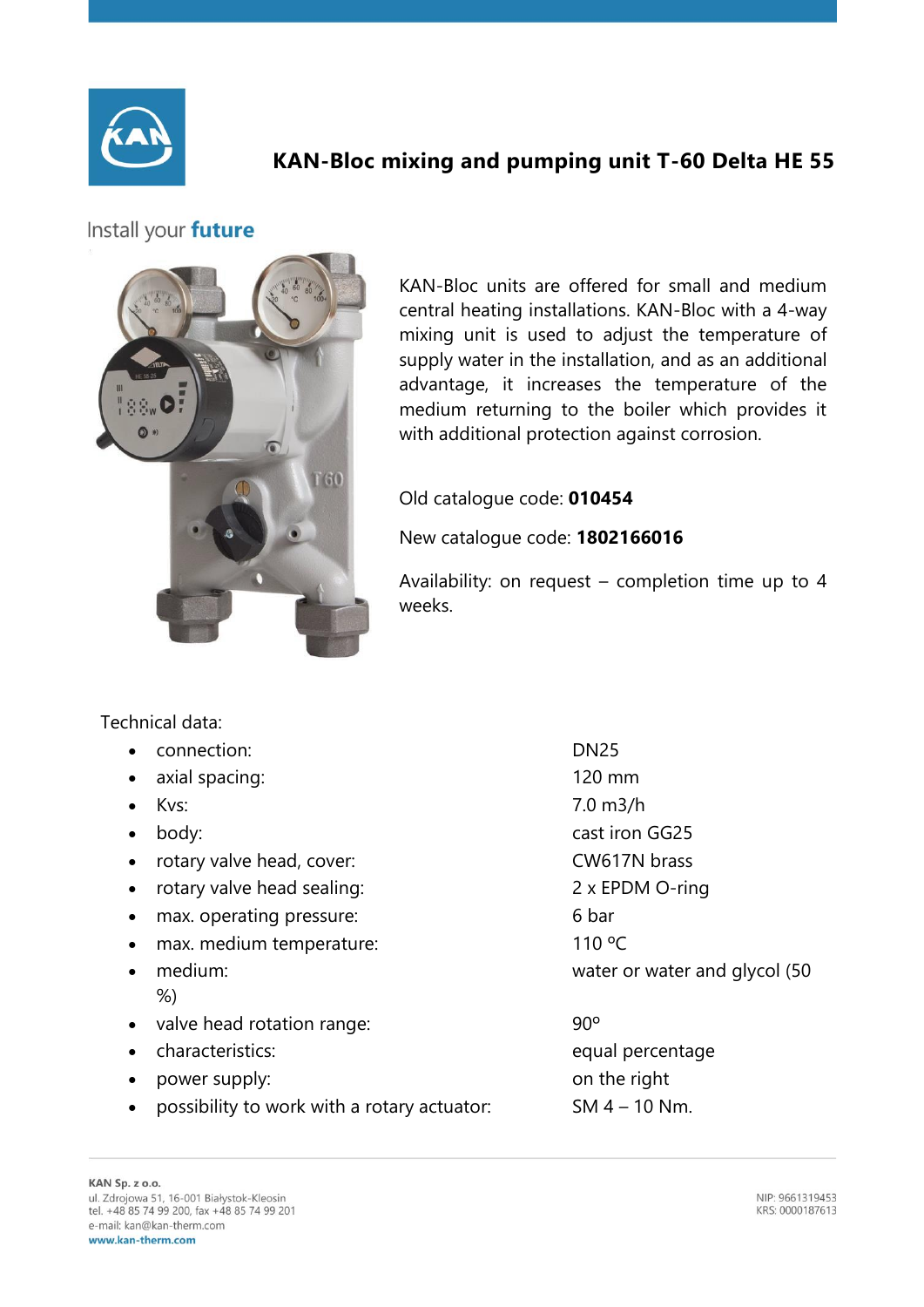

## **KAN-Bloc mixing and pumping unit T-60 Delta HE 55**

## Install your future



KAN-Bloc units are offered for small and medium central heating installations. KAN-Bloc with a 4-way mixing unit is used to adjust the temperature of supply water in the installation, and as an additional advantage, it increases the temperature of the medium returning to the boiler which provides it with additional protection against corrosion.

## Old catalogue code: **010454**

New catalogue code: **1802166016**

Availability: on request – completion time up to 4 weeks.

Technical data:

- connection: DN25
- axial spacing: 120 mm
- 
- 
- rotary valve head, cover: CW617N brass
- rotary valve head sealing: 2 x EPDM O-ring
- max. operating pressure: 6 bar
- max. medium temperature: 110 ºC
- %)
- valve head rotation range: 90°
- characteristics: equal percentage
- power supply:  $\bullet$  power supply:
- possibility to work with a rotary actuator: SM 4 10 Nm.

• Kvs: 7.0 m3/h • body: cast iron GG25 • medium: water or water and glycol (50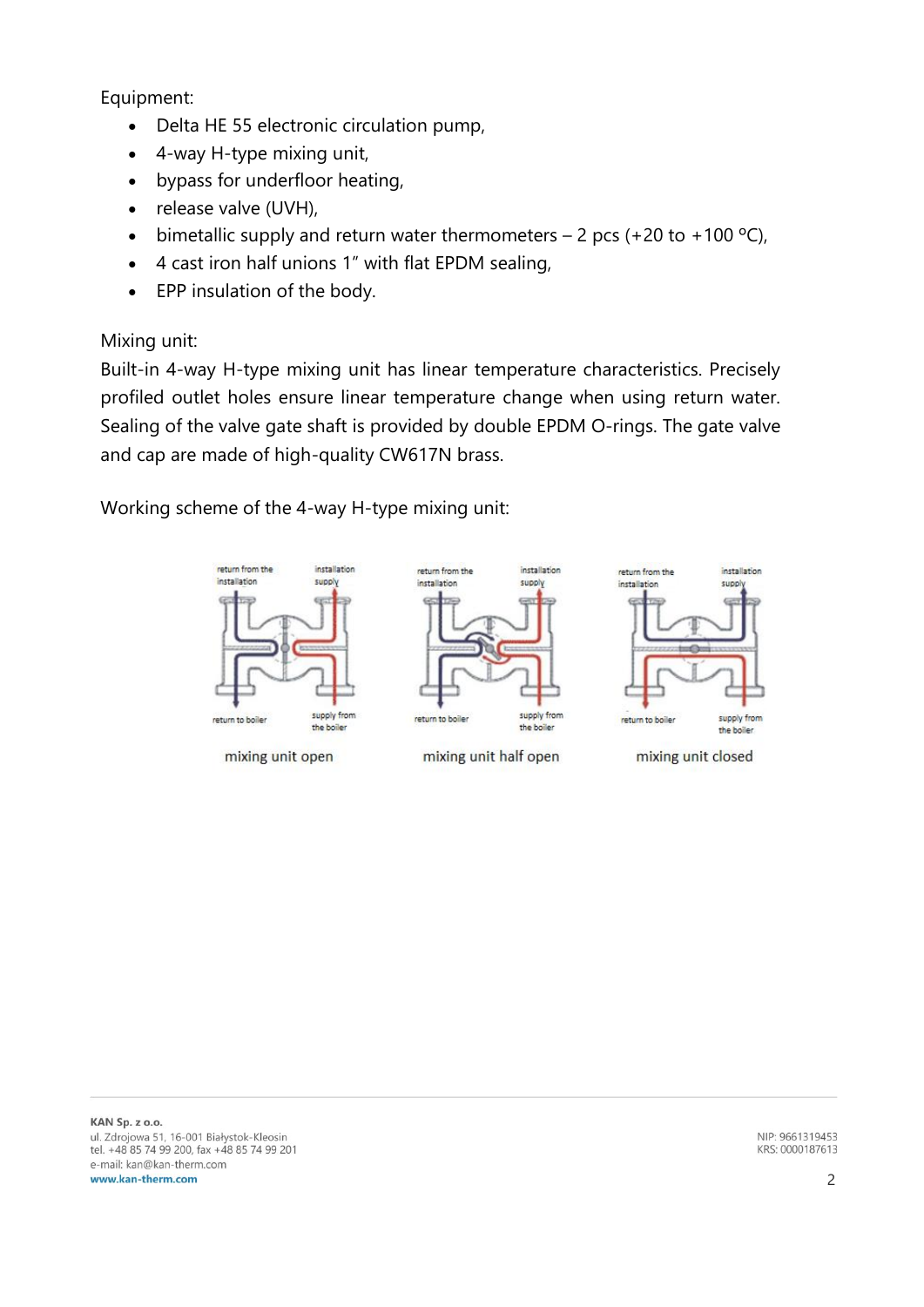Equipment:

- Delta HE 55 electronic circulation pump,
- 4-way H-type mixing unit,
- bypass for underfloor heating,
- release valve (UVH),
- bimetallic supply and return water thermometers  $-2$  pcs (+20 to +100 °C),
- 4 cast iron half unions 1" with flat EPDM sealing,
- EPP insulation of the body.

Mixing unit:

Built-in 4-way H-type mixing unit has linear temperature characteristics. Precisely profiled outlet holes ensure linear temperature change when using return water. Sealing of the valve gate shaft is provided by double EPDM O-rings. The gate valve and cap are made of high-quality CW617N brass.

Working scheme of the 4-way H-type mixing unit:



KAN Sp. z o.o. ul. Zdrojowa 51, 16-001 Białystok-Kleosin tel. +48 85 74 99 200, fax +48 85 74 99 201 e-mail: kan@kan-therm.com www.kan-therm.com

NIP: 9661319453 KRS: 0000187613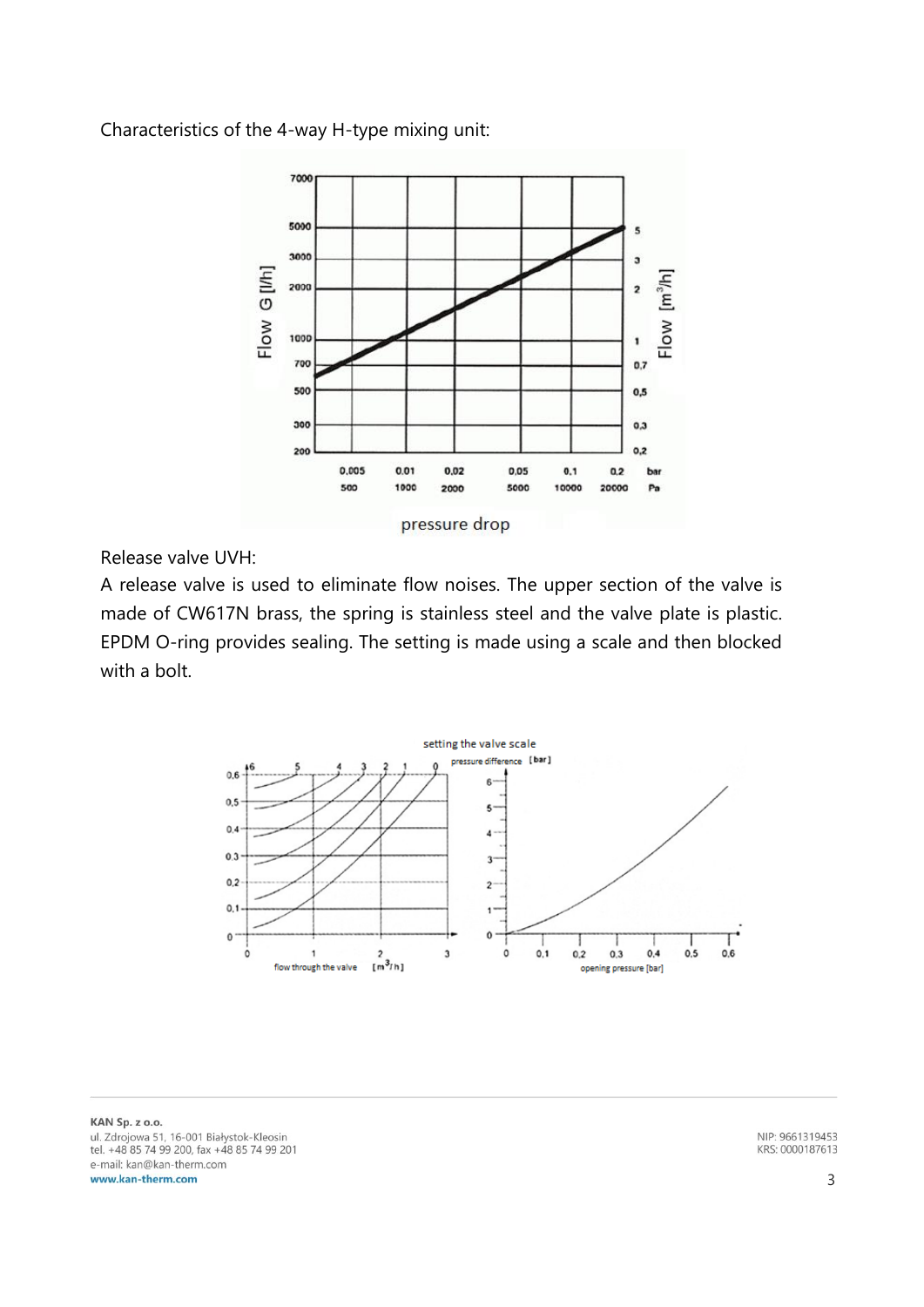Characteristics of the 4-way H-type mixing unit:



Release valve UVH:

A release valve is used to eliminate flow noises. The upper section of the valve is made of CW617N brass, the spring is stainless steel and the valve plate is plastic. EPDM O-ring provides sealing. The setting is made using a scale and then blocked with a bolt.



KAN Sp. z o.o. ul. Zdrojowa 51, 16-001 Białystok-Kleosin tel. +48 85 74 99 200, fax +48 85 74 99 201 e-mail: kan@kan-therm.com www.kan-therm.com

NIP: 9661319453 KRS: 0000187613